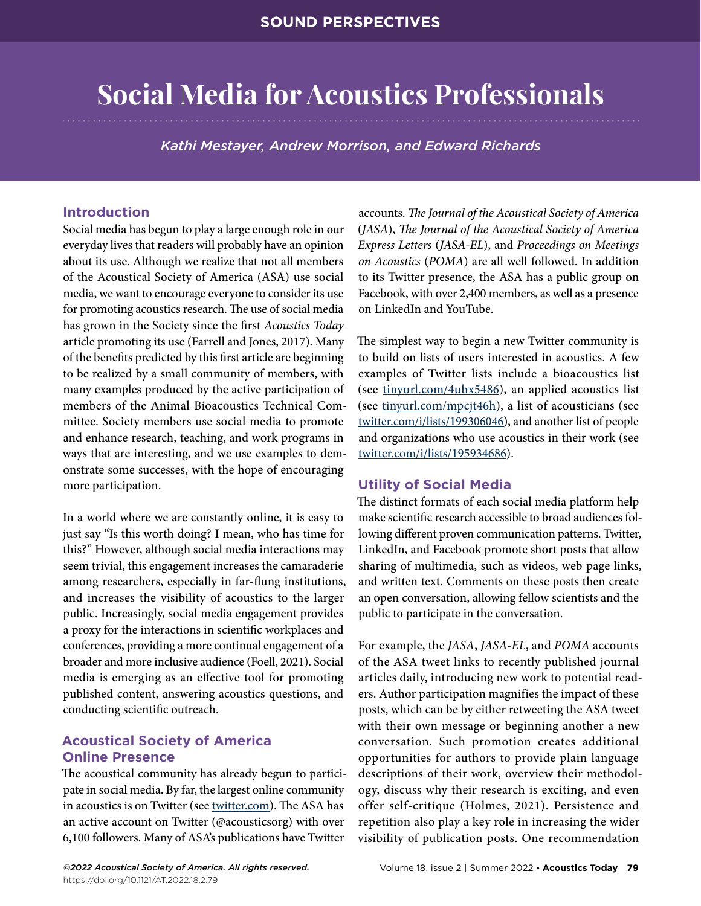# **Social Media for Acoustics Professionals**

*Kathi Mestayer, Andrew Morrison, and Edward Richards*

## **Introduction**

Social media has begun to play a large enough role in our everyday lives that readers will probably have an opinion about its use. Although we realize that not all members of the Acoustical Society of America (ASA) use social media, we want to encourage everyone to consider its use for promoting acoustics research. The use of social media has grown in the Society since the first *Acoustics Today*  article promoting its use (Farrell and Jones, 2017). Many of the benefits predicted by this first article are beginning to be realized by a small community of members, with many examples produced by the active participation of members of the Animal Bioacoustics Technical Committee. Society members use social media to promote and enhance research, teaching, and work programs in ways that are interesting, and we use examples to demonstrate some successes, with the hope of encouraging more participation.

In a world where we are constantly online, it is easy to just say "Is this worth doing? I mean, who has time for this?" However, although social media interactions may seem trivial, this engagement increases the camaraderie among researchers, especially in far-flung institutions, and increases the visibility of acoustics to the larger public. Increasingly, social media engagement provides a proxy for the interactions in scientific workplaces and conferences, providing a more continual engagement of a broader and more inclusive audience (Foell, 2021). Social media is emerging as an effective tool for promoting published content, answering acoustics questions, and conducting scientific outreach.

## **Acoustical Society of America Online Presence**

The acoustical community has already begun to participate in social media. By far, the largest online community in acoustics is on [Twitter](https://twitter.com/) (see [twitter.com](https://twitter.com/)). The ASA has an active account on Twitter (@acousticsorg) with over 6,100 followers. Many of ASA's publications have Twitter

accounts. *The Journal of the Acoustical Society of America* (*JASA*), *The Journal of the Acoustical Society of America Express Letters* (*JASA-EL*), and *Proceedings on Meetings on Acoustics* (*POMA*) are all well followed. In addition to its Twitter presence, the ASA has a public group on Facebook, with over 2,400 members, as well as a presence on LinkedIn and YouTube.

The simplest way to begin a new Twitter community is to build on lists of users interested in acoustics. A few examples of Twitter lists include a [bioacoustics list](https://twitter.com/i/lists/1070033827056312320) (see [tinyurl.com/4uhx5486](https://tinyurl.com/4uhx5486)), an [applied acoustics list](https://twitter.com/i/lists/723177478206971904) (see [tinyurl.com/mpcjt46h](https://tinyurl.com/mpcjt46h)), a [list of acousticians](https://twitter.com/i/lists/199306046) (see [twitter.com/i/lists/199306046](https://twitter.com/i/lists/199306046)), and another [list of people](https://twitter.com/i/lists/195934686)  [and organizations who use acoustics in their work](https://twitter.com/i/lists/195934686) (see [twitter.com/i/lists/195934686\)](https://twitter.com/i/lists/195934686).

## **Utility of Social Media**

The distinct formats of each social media platform help make scientific research accessible to broad audiences following different proven communication patterns. Twitter, LinkedIn, and Facebook promote short posts that allow sharing of multimedia, such as videos, web page links, and written text. Comments on these posts then create an open conversation, allowing fellow scientists and the public to participate in the conversation.

For example, the *JASA*, *JASA-EL*, and *POMA* accounts of the ASA tweet links to recently published journal articles daily, introducing new work to potential readers. Author participation magnifies the impact of these posts, which can be by either retweeting the ASA tweet with their own message or beginning another a new conversation. Such promotion creates additional opportunities for authors to provide plain language descriptions of their work, overview their methodology, discuss why their research is exciting, and even offer self-critique (Holmes, 2021). Persistence and repetition also play a key role in increasing the wider visibility of publication posts. One recommendation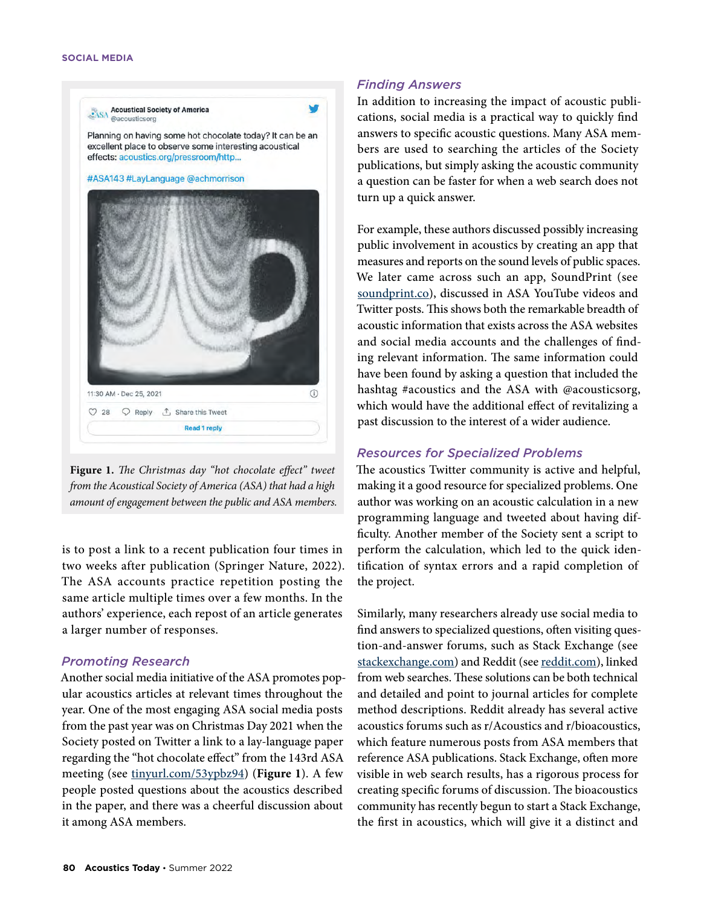

**Figure 1.** *The Christmas day "hot chocolate effect" tweet from the Acoustical Society of America (ASA) that had a high amount of engagement between the public and ASA members.*

is to post a link to a recent publication four times in two weeks after publication (Springer Nature, 2022). The ASA accounts practice repetition posting the same article multiple times over a few months. In the authors' experience, each repost of an article generates a larger number of responses.

### *Promoting Research*

Another social media initiative of the ASA promotes popular acoustics articles at relevant times throughout the year. One of the most engaging ASA social media posts from the past year was on Christmas Day 2021 when the Society posted on Twitter a link to a lay-language paper regarding the "hot chocolate effect" from the 143rd ASA meeting (see [tinyurl.com/53ypbz94](https://tinyurl.com/53ypbz94)) (**Figure 1**). A few people posted questions about the acoustics described in the paper, and there was a cheerful discussion about it among ASA members.

## *Finding Answers*

In addition to increasing the impact of acoustic publications, social media is a practical way to quickly find answers to specific acoustic questions. Many ASA members are used to searching the articles of the Society publications, but simply asking the acoustic community a question can be faster for when a web search does not turn up a quick answer.

For example, these authors discussed possibly increasing public involvement in acoustics by creating an app that measures and reports on the sound levels of public spaces. We later came across such an app, [SoundPrint](https://www.soundprint.co/) (see [soundprint.co\)](https://www.soundprint.co/), discussed in ASA YouTube videos and Twitter posts. This shows both the remarkable breadth of acoustic information that exists across the ASA websites and social media accounts and the challenges of finding relevant information. The same information could have been found by asking a question that included the hashtag #acoustics and the ASA with @acousticsorg, which would have the additional effect of revitalizing a past discussion to the interest of a wider audience.

## *Resources for Specialized Problems*

The acoustics Twitter community is active and helpful, making it a good resource for specialized problems. One author was working on an acoustic calculation in a new programming language and tweeted about having difficulty. Another member of the Society sent a script to perform the calculation, which led to the quick identification of syntax errors and a rapid completion of the project.

Similarly, many researchers already use social media to find answers to specialized questions, often visiting question-and-answer forums, such as [Stack Exchange](https://stackexchange.com/) (see [stackexchange.com\)](https://stackexchange.com/) and [Reddit](https://www.reddit.com/) (see [reddit.com](https://www.reddit.com/)), linked from web searches. These solutions can be both technical and detailed and point to journal articles for complete method descriptions. Reddit already has several active acoustics forums such as r/Acoustics and r/bioacoustics, which feature numerous posts from ASA members that reference ASA publications. Stack Exchange, often more visible in web search results, has a rigorous process for creating specific forums of discussion. The bioacoustics community has recently begun to start a Stack Exchange, the first in acoustics, which will give it a distinct and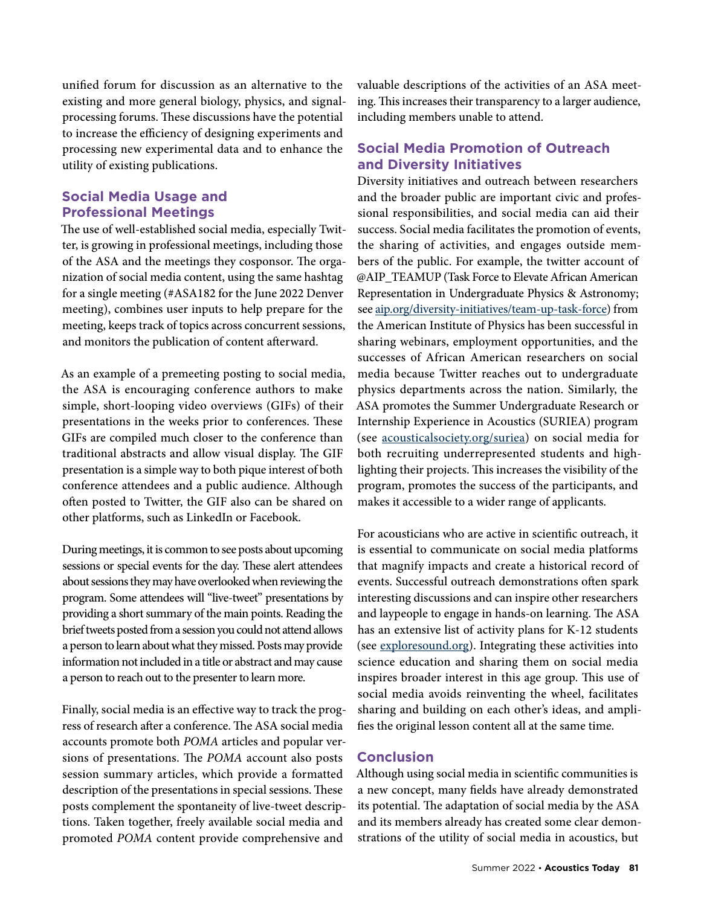unified forum for discussion as an alternative to the existing and more general biology, physics, and signalprocessing forums. These discussions have the potential to increase the efficiency of designing experiments and processing new experimental data and to enhance the utility of existing publications.

## **Social Media Usage and Professional Meetings**

The use of well-established social media, especially Twitter, is growing in professional meetings, including those of the ASA and the meetings they cosponsor. The organization of social media content, using the same hashtag for a single meeting (#ASA182 for the June 2022 Denver meeting), combines user inputs to help prepare for the meeting, keeps track of topics across concurrent sessions, and monitors the publication of content afterward.

As an example of a premeeting posting to social media, the ASA is encouraging conference authors to make simple, short-looping video overviews (GIFs) of their presentations in the weeks prior to conferences. These GIFs are compiled much closer to the conference than traditional abstracts and allow visual display. The GIF presentation is a simple way to both pique interest of both conference attendees and a public audience. Although often posted to Twitter, the GIF also can be shared on other platforms, such as LinkedIn or Facebook.

During meetings, it is common to see posts about upcoming sessions or special events for the day. These alert attendees about sessions they may have overlooked when reviewing the program. Some attendees will "live-tweet" presentations by providing a short summary of the main points. Reading the brief tweets posted from a session you could not attend allows a person to learn about what they missed. Posts may provide information not included in a title or abstract and may cause a person to reach out to the presenter to learn more.

Finally, social media is an effective way to track the progress of research after a conference. The ASA social media accounts promote both *POMA* articles and popular versions of presentations. The *POMA* account also posts session summary articles, which provide a formatted description of the presentations in special sessions. These posts complement the spontaneity of live-tweet descriptions. Taken together, freely available social media and promoted *POMA* content provide comprehensive and

valuable descriptions of the activities of an ASA meeting. This increases their transparency to a larger audience, including members unable to attend.

## **Social Media Promotion of Outreach and Diversity Initiatives**

Diversity initiatives and outreach between researchers and the broader public are important civic and professional responsibilities, and social media can aid their success. Social media facilitates the promotion of events, the sharing of activities, and engages outside members of the public. For example, the twitter account of @AIP\_TEAMUP [\(Task Force to Elevate African American](https://www.aip.org/diversity-initiatives/team-up-task-force)  [Representation in Undergraduate Physics & Astronomy](https://www.aip.org/diversity-initiatives/team-up-task-force); see [aip.org/diversity-initiatives/team-up-task-force](http://aip.org/diversity-initiatives/team-up-task-force)) from the American Institute of Physics has been successful in sharing webinars, employment opportunities, and the successes of African American researchers on social media because Twitter reaches out to undergraduate physics departments across the nation. Similarly, the ASA promotes the Summer Undergraduate Research or Internship Experience in Acoustics (SURIEA) program (see [acousticalsociety.org/suriea\)](https://acousticalsociety.org/suriea/) on social media for both recruiting underrepresented students and highlighting their projects. This increases the visibility of the program, promotes the success of the participants, and makes it accessible to a wider range of applicants.

For acousticians who are active in scientific outreach, it is essential to communicate on social media platforms that magnify impacts and create a historical record of events. Successful outreach demonstrations often spark interesting discussions and can inspire other researchers and laypeople to engage in hands-on learning. The ASA has an extensive list of activity plans for K-12 students (see [exploresound.org\)](https://exploresound.org/). Integrating these activities into science education and sharing them on social media inspires broader interest in this age group. This use of social media avoids reinventing the wheel, facilitates sharing and building on each other's ideas, and amplifies the original lesson content all at the same time.

## **Conclusion**

Although using social media in scientific communities is a new concept, many fields have already demonstrated its potential. The adaptation of social media by the ASA and its members already has created some clear demonstrations of the utility of social media in acoustics, but